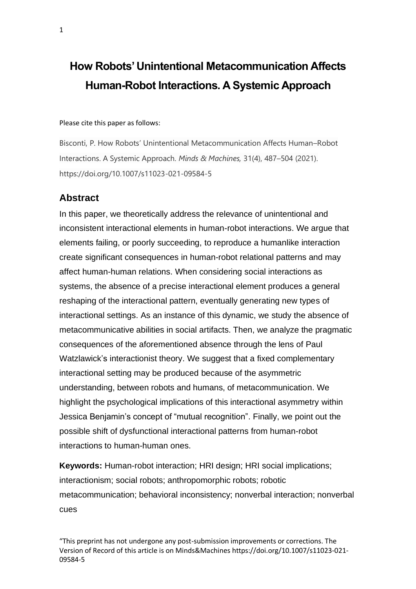# **How Robots' Unintentional Metacommunication Affects Human-Robot Interactions. A Systemic Approach**

Please cite this paper as follows:

Bisconti, P. How Robots' Unintentional Metacommunication Affects Human–Robot Interactions. A Systemic Approach. *Minds & Machines,* 31(4), 487–504 (2021). https://doi.org/10.1007/s11023-021-09584-5

#### **Abstract**

In this paper, we theoretically address the relevance of unintentional and inconsistent interactional elements in human-robot interactions. We argue that elements failing, or poorly succeeding, to reproduce a humanlike interaction create significant consequences in human-robot relational patterns and may affect human-human relations. When considering social interactions as systems, the absence of a precise interactional element produces a general reshaping of the interactional pattern, eventually generating new types of interactional settings. As an instance of this dynamic, we study the absence of metacommunicative abilities in social artifacts. Then, we analyze the pragmatic consequences of the aforementioned absence through the lens of Paul Watzlawick's interactionist theory. We suggest that a fixed complementary interactional setting may be produced because of the asymmetric understanding, between robots and humans, of metacommunication. We highlight the psychological implications of this interactional asymmetry within Jessica Benjamin's concept of "mutual recognition". Finally, we point out the possible shift of dysfunctional interactional patterns from human-robot interactions to human-human ones.

**Keywords:** Human-robot interaction; HRI design; HRI social implications; interactionism; social robots; anthropomorphic robots; robotic metacommunication; behavioral inconsistency; nonverbal interaction; nonverbal cues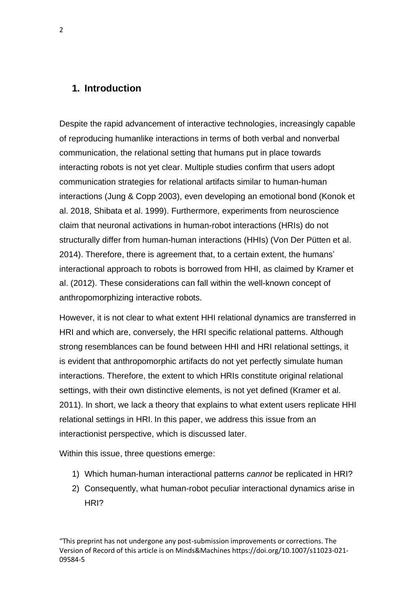### **1. Introduction**

Despite the rapid advancement of interactive technologies, increasingly capable of reproducing humanlike interactions in terms of both verbal and nonverbal communication, the relational setting that humans put in place towards interacting robots is not yet clear. Multiple studies confirm that users adopt communication strategies for relational artifacts similar to human-human interactions (Jung & Copp 2003), even developing an emotional bond (Konok et al. 2018, Shibata et al. 1999). Furthermore, experiments from neuroscience claim that neuronal activations in human-robot interactions (HRIs) do not structurally differ from human-human interactions (HHIs) (Von Der Pütten et al. 2014). Therefore, there is agreement that, to a certain extent, the humans' interactional approach to robots is borrowed from HHI, as claimed by Kramer et al. (2012). These considerations can fall within the well-known concept of anthropomorphizing interactive robots.

However, it is not clear to what extent HHI relational dynamics are transferred in HRI and which are, conversely, the HRI specific relational patterns. Although strong resemblances can be found between HHI and HRI relational settings, it is evident that anthropomorphic artifacts do not yet perfectly simulate human interactions. Therefore, the extent to which HRIs constitute original relational settings, with their own distinctive elements, is not yet defined (Kramer et al. 2011). In short, we lack a theory that explains to what extent users replicate HHI relational settings in HRI. In this paper, we address this issue from an interactionist perspective, which is discussed later.

Within this issue, three questions emerge:

- 1) Which human-human interactional patterns *cannot* be replicated in HRI?
- 2) Consequently, what human-robot peculiar interactional dynamics arise in HRI?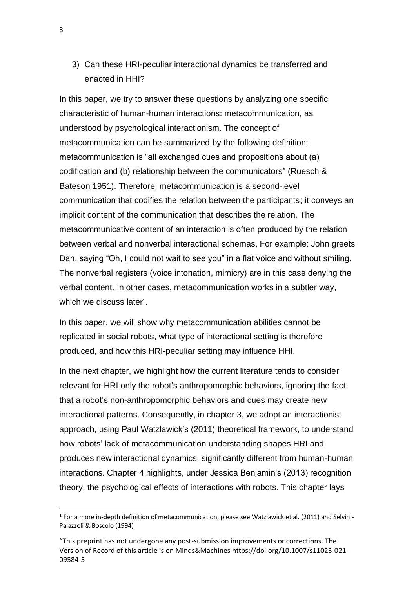3) Can these HRI-peculiar interactional dynamics be transferred and enacted in HHI?

In this paper, we try to answer these questions by analyzing one specific characteristic of human-human interactions: metacommunication, as understood by psychological interactionism. The concept of metacommunication can be summarized by the following definition: metacommunication is "all exchanged cues and propositions about (a) codification and (b) relationship between the communicators" (Ruesch & Bateson 1951). Therefore, metacommunication is a second-level communication that codifies the relation between the participants; it conveys an implicit content of the communication that describes the relation. The metacommunicative content of an interaction is often produced by the relation between verbal and nonverbal interactional schemas. For example: John greets Dan, saying "Oh, I could not wait to see you" in a flat voice and without smiling. The nonverbal registers (voice intonation, mimicry) are in this case denying the verbal content. In other cases, metacommunication works in a subtler way, which we discuss later $1$ .

In this paper, we will show why metacommunication abilities cannot be replicated in social robots, what type of interactional setting is therefore produced, and how this HRI-peculiar setting may influence HHI.

In the next chapter, we highlight how the current literature tends to consider relevant for HRI only the robot's anthropomorphic behaviors, ignoring the fact that a robot's non-anthropomorphic behaviors and cues may create new interactional patterns. Consequently, in chapter 3, we adopt an interactionist approach, using Paul Watzlawick's (2011) theoretical framework, to understand how robots' lack of metacommunication understanding shapes HRI and produces new interactional dynamics, significantly different from human-human interactions. Chapter 4 highlights, under Jessica Benjamin's (2013) recognition theory, the psychological effects of interactions with robots. This chapter lays

 $<sup>1</sup>$  For a more in-depth definition of metacommunication, please see Watzlawick et al. (2011) and Selvini-</sup> Palazzoli & Boscolo (1994)

<sup>&</sup>quot;This preprint has not undergone any post-submission improvements or corrections. The Version of Record of this article is on Minds&Machines https://doi.org/10.1007/s11023-021- 09584-5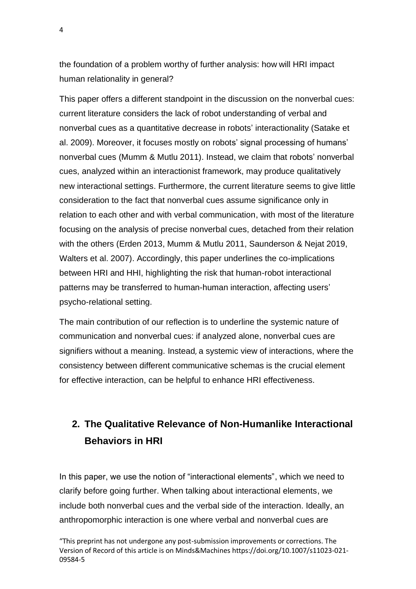the foundation of a problem worthy of further analysis: how will HRI impact human relationality in general?

This paper offers a different standpoint in the discussion on the nonverbal cues: current literature considers the lack of robot understanding of verbal and nonverbal cues as a quantitative decrease in robots' interactionality (Satake et al. 2009). Moreover, it focuses mostly on robots' signal processing of humans' nonverbal cues (Mumm & Mutlu 2011). Instead, we claim that robots' nonverbal cues, analyzed within an interactionist framework, may produce qualitatively new interactional settings. Furthermore, the current literature seems to give little consideration to the fact that nonverbal cues assume significance only in relation to each other and with verbal communication, with most of the literature focusing on the analysis of precise nonverbal cues, detached from their relation with the others (Erden 2013, Mumm & Mutlu 2011, Saunderson & Nejat 2019, Walters et al. 2007). Accordingly, this paper underlines the co-implications between HRI and HHI, highlighting the risk that human-robot interactional patterns may be transferred to human-human interaction, affecting users' psycho-relational setting.

The main contribution of our reflection is to underline the systemic nature of communication and nonverbal cues: if analyzed alone, nonverbal cues are signifiers without a meaning. Instead, a systemic view of interactions, where the consistency between different communicative schemas is the crucial element for effective interaction, can be helpful to enhance HRI effectiveness.

# **2. The Qualitative Relevance of Non-Humanlike Interactional Behaviors in HRI**

In this paper, we use the notion of "interactional elements", which we need to clarify before going further. When talking about interactional elements, we include both nonverbal cues and the verbal side of the interaction. Ideally, an anthropomorphic interaction is one where verbal and nonverbal cues are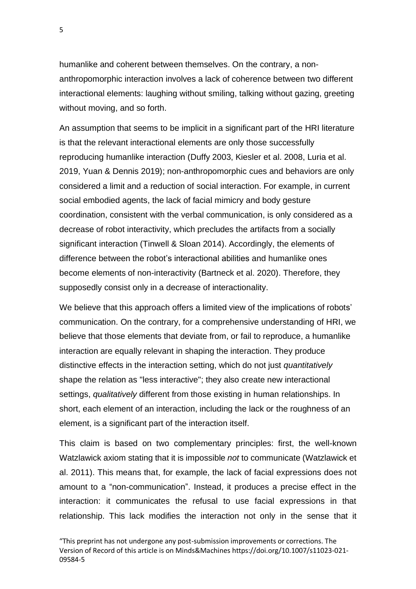humanlike and coherent between themselves. On the contrary, a nonanthropomorphic interaction involves a lack of coherence between two different interactional elements: laughing without smiling, talking without gazing, greeting without moving, and so forth.

An assumption that seems to be implicit in a significant part of the HRI literature is that the relevant interactional elements are only those successfully reproducing humanlike interaction (Duffy 2003, Kiesler et al. 2008, Luria et al. 2019, Yuan & Dennis 2019); non-anthropomorphic cues and behaviors are only considered a limit and a reduction of social interaction. For example, in current social embodied agents, the lack of facial mimicry and body gesture coordination, consistent with the verbal communication, is only considered as a decrease of robot interactivity, which precludes the artifacts from a socially significant interaction (Tinwell & Sloan 2014). Accordingly, the elements of difference between the robot's interactional abilities and humanlike ones become elements of non-interactivity (Bartneck et al. 2020). Therefore, they supposedly consist only in a decrease of interactionality.

We believe that this approach offers a limited view of the implications of robots' communication. On the contrary, for a comprehensive understanding of HRI, we believe that those elements that deviate from, or fail to reproduce, a humanlike interaction are equally relevant in shaping the interaction. They produce distinctive effects in the interaction setting, which do not just *quantitatively* shape the relation as "less interactive"; they also create new interactional settings, *qualitatively* different from those existing in human relationships. In short, each element of an interaction, including the lack or the roughness of an element, is a significant part of the interaction itself.

This claim is based on two complementary principles: first, the well-known Watzlawick axiom stating that it is impossible *not* to communicate (Watzlawick et al. 2011). This means that, for example, the lack of facial expressions does not amount to a "non-communication". Instead, it produces a precise effect in the interaction: it communicates the refusal to use facial expressions in that relationship. This lack modifies the interaction not only in the sense that it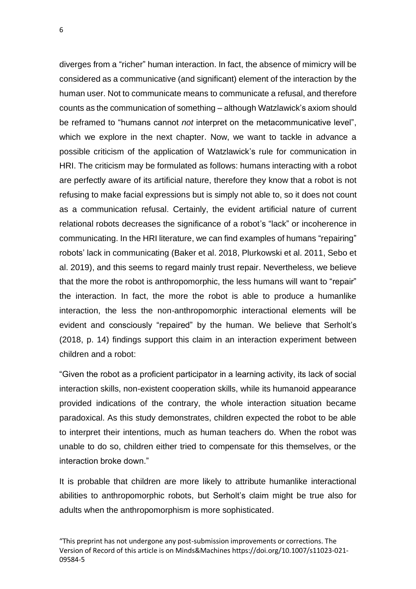diverges from a "richer" human interaction. In fact, the absence of mimicry will be considered as a communicative (and significant) element of the interaction by the human user. Not to communicate means to communicate a refusal, and therefore counts as the communication of something – although Watzlawick's axiom should be reframed to "humans cannot *not* interpret on the metacommunicative level", which we explore in the next chapter. Now, we want to tackle in advance a possible criticism of the application of Watzlawick's rule for communication in HRI. The criticism may be formulated as follows: humans interacting with a robot are perfectly aware of its artificial nature, therefore they know that a robot is not refusing to make facial expressions but is simply not able to, so it does not count as a communication refusal. Certainly, the evident artificial nature of current relational robots decreases the significance of a robot's "lack" or incoherence in communicating. In the HRI literature, we can find examples of humans "repairing" robots' lack in communicating (Baker et al. 2018, Plurkowski et al. 2011, Sebo et al. 2019), and this seems to regard mainly trust repair. Nevertheless, we believe that the more the robot is anthropomorphic, the less humans will want to "repair" the interaction. In fact, the more the robot is able to produce a humanlike interaction, the less the non-anthropomorphic interactional elements will be evident and consciously "repaired" by the human. We believe that Serholt's (2018, p. 14) findings support this claim in an interaction experiment between children and a robot:

"Given the robot as a proficient participator in a learning activity, its lack of social interaction skills, non-existent cooperation skills, while its humanoid appearance provided indications of the contrary, the whole interaction situation became paradoxical. As this study demonstrates, children expected the robot to be able to interpret their intentions, much as human teachers do. When the robot was unable to do so, children either tried to compensate for this themselves, or the interaction broke down."

It is probable that children are more likely to attribute humanlike interactional abilities to anthropomorphic robots, but Serholt's claim might be true also for adults when the anthropomorphism is more sophisticated.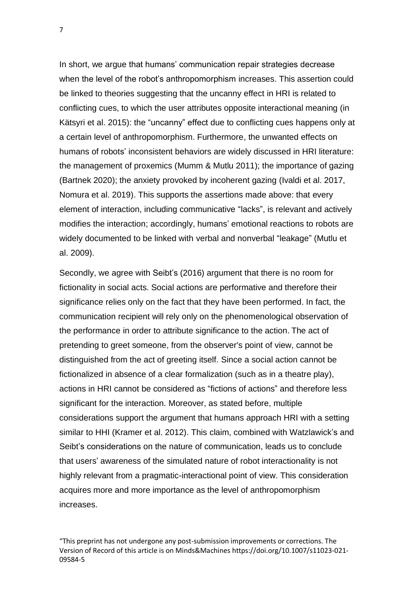In short, we argue that humans' communication repair strategies decrease when the level of the robot's anthropomorphism increases. This assertion could be linked to theories suggesting that the uncanny effect in HRI is related to conflicting cues, to which the user attributes opposite interactional meaning (in Kätsyri et al. 2015): the "uncanny" effect due to conflicting cues happens only at a certain level of anthropomorphism. Furthermore, the unwanted effects on humans of robots' inconsistent behaviors are widely discussed in HRI literature: the management of proxemics (Mumm & Mutlu 2011); the importance of gazing (Bartnek 2020); the anxiety provoked by incoherent gazing (Ivaldi et al. 2017, Nomura et al. 2019). This supports the assertions made above: that every element of interaction, including communicative "lacks", is relevant and actively modifies the interaction; accordingly, humans' emotional reactions to robots are widely documented to be linked with verbal and nonverbal "leakage" (Mutlu et al. 2009).

Secondly, we agree with Seibt's (2016) argument that there is no room for fictionality in social acts. Social actions are performative and therefore their significance relies only on the fact that they have been performed. In fact, the communication recipient will rely only on the phenomenological observation of the performance in order to attribute significance to the action. The act of pretending to greet someone, from the observer's point of view, cannot be distinguished from the act of greeting itself. Since a social action cannot be fictionalized in absence of a clear formalization (such as in a theatre play), actions in HRI cannot be considered as "fictions of actions" and therefore less significant for the interaction. Moreover, as stated before, multiple considerations support the argument that humans approach HRI with a setting similar to HHI (Kramer et al. 2012). This claim, combined with Watzlawick's and Seibt's considerations on the nature of communication, leads us to conclude that users' awareness of the simulated nature of robot interactionality is not highly relevant from a pragmatic-interactional point of view. This consideration acquires more and more importance as the level of anthropomorphism increases.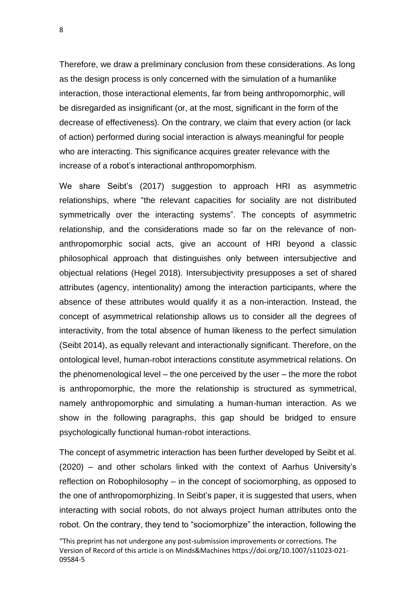Therefore, we draw a preliminary conclusion from these considerations. As long as the design process is only concerned with the simulation of a humanlike interaction, those interactional elements, far from being anthropomorphic, will be disregarded as insignificant (or, at the most, significant in the form of the decrease of effectiveness). On the contrary, we claim that every action (or lack of action) performed during social interaction is always meaningful for people who are interacting. This significance acquires greater relevance with the increase of a robot's interactional anthropomorphism.

We share Seibt's (2017) suggestion to approach HRI as asymmetric relationships, where "the relevant capacities for sociality are not distributed symmetrically over the interacting systems". The concepts of asymmetric relationship, and the considerations made so far on the relevance of nonanthropomorphic social acts, give an account of HRI beyond a classic philosophical approach that distinguishes only between intersubjective and objectual relations (Hegel 2018). Intersubjectivity presupposes a set of shared attributes (agency, intentionality) among the interaction participants, where the absence of these attributes would qualify it as a non-interaction. Instead, the concept of asymmetrical relationship allows us to consider all the degrees of interactivity, from the total absence of human likeness to the perfect simulation (Seibt 2014), as equally relevant and interactionally significant. Therefore, on the ontological level, human-robot interactions constitute asymmetrical relations. On the phenomenological level – the one perceived by the user – the more the robot is anthropomorphic, the more the relationship is structured as symmetrical, namely anthropomorphic and simulating a human-human interaction. As we show in the following paragraphs, this gap should be bridged to ensure psychologically functional human-robot interactions.

The concept of asymmetric interaction has been further developed by Seibt et al. (2020) – and other scholars linked with the context of Aarhus University's reflection on Robophilosophy – in the concept of sociomorphing, as opposed to the one of anthropomorphizing. In Seibt's paper, it is suggested that users, when interacting with social robots, do not always project human attributes onto the robot. On the contrary, they tend to "sociomorphize" the interaction, following the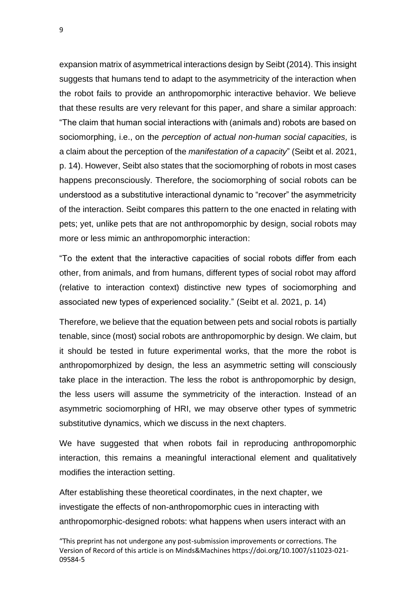expansion matrix of asymmetrical interactions design by Seibt (2014). This insight suggests that humans tend to adapt to the asymmetricity of the interaction when the robot fails to provide an anthropomorphic interactive behavior. We believe that these results are very relevant for this paper, and share a similar approach: "The claim that human social interactions with (animals and) robots are based on sociomorphing, i.e., on the *perception of actual non-human social capacities,* is a claim about the perception of the *manifestation of a capacity*" (Seibt et al. 2021, p. 14). However, Seibt also states that the sociomorphing of robots in most cases happens preconsciously. Therefore, the sociomorphing of social robots can be understood as a substitutive interactional dynamic to "recover" the asymmetricity of the interaction. Seibt compares this pattern to the one enacted in relating with pets; yet, unlike pets that are not anthropomorphic by design, social robots may more or less mimic an anthropomorphic interaction:

"To the extent that the interactive capacities of social robots differ from each other, from animals, and from humans, different types of social robot may afford (relative to interaction context) distinctive new types of sociomorphing and associated new types of experienced sociality." (Seibt et al. 2021, p. 14)

Therefore, we believe that the equation between pets and social robots is partially tenable, since (most) social robots are anthropomorphic by design. We claim, but it should be tested in future experimental works, that the more the robot is anthropomorphized by design, the less an asymmetric setting will consciously take place in the interaction. The less the robot is anthropomorphic by design, the less users will assume the symmetricity of the interaction. Instead of an asymmetric sociomorphing of HRI, we may observe other types of symmetric substitutive dynamics, which we discuss in the next chapters.

We have suggested that when robots fail in reproducing anthropomorphic interaction, this remains a meaningful interactional element and qualitatively modifies the interaction setting.

After establishing these theoretical coordinates, in the next chapter, we investigate the effects of non-anthropomorphic cues in interacting with anthropomorphic-designed robots: what happens when users interact with an

<sup>&</sup>quot;This preprint has not undergone any post-submission improvements or corrections. The Version of Record of this article is on Minds&Machines https://doi.org/10.1007/s11023-021- 09584-5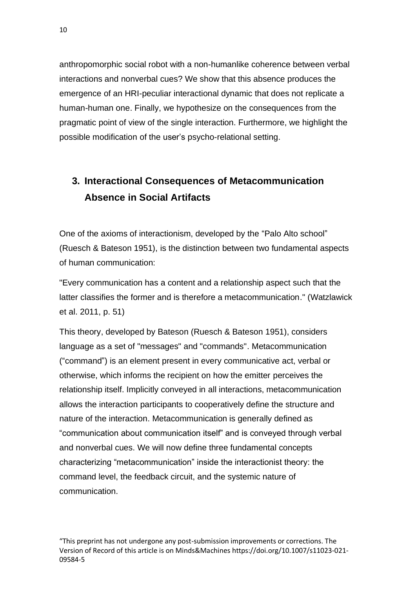anthropomorphic social robot with a non-humanlike coherence between verbal interactions and nonverbal cues? We show that this absence produces the emergence of an HRI-peculiar interactional dynamic that does not replicate a human-human one. Finally, we hypothesize on the consequences from the pragmatic point of view of the single interaction. Furthermore, we highlight the possible modification of the user's psycho-relational setting.

# **3. Interactional Consequences of Metacommunication Absence in Social Artifacts**

One of the axioms of interactionism, developed by the "Palo Alto school" (Ruesch & Bateson 1951), is the distinction between two fundamental aspects of human communication:

"Every communication has a content and a relationship aspect such that the latter classifies the former and is therefore a metacommunication." (Watzlawick et al. 2011, p. 51)

This theory, developed by Bateson (Ruesch & Bateson 1951), considers language as a set of "messages" and "commands". Metacommunication ("command") is an element present in every communicative act, verbal or otherwise, which informs the recipient on how the emitter perceives the relationship itself. Implicitly conveyed in all interactions, metacommunication allows the interaction participants to cooperatively define the structure and nature of the interaction. Metacommunication is generally defined as "communication about communication itself" and is conveyed through verbal and nonverbal cues. We will now define three fundamental concepts characterizing "metacommunication" inside the interactionist theory: the command level, the feedback circuit, and the systemic nature of communication.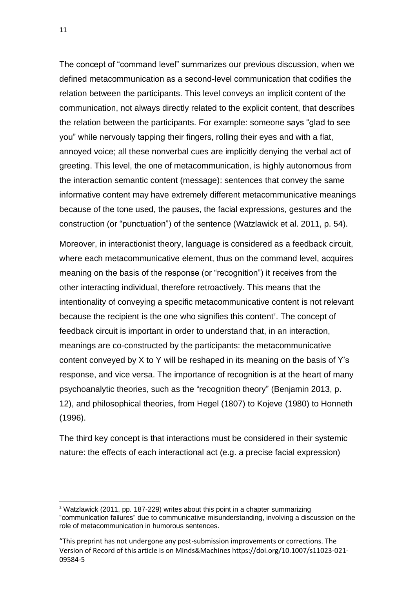The concept of "command level" summarizes our previous discussion, when we defined metacommunication as a second-level communication that codifies the relation between the participants. This level conveys an implicit content of the communication, not always directly related to the explicit content, that describes the relation between the participants. For example: someone says "glad to see you" while nervously tapping their fingers, rolling their eyes and with a flat, annoyed voice; all these nonverbal cues are implicitly denying the verbal act of greeting. This level, the one of metacommunication, is highly autonomous from the interaction semantic content (message): sentences that convey the same informative content may have extremely different metacommunicative meanings because of the tone used, the pauses, the facial expressions, gestures and the construction (or "punctuation") of the sentence (Watzlawick et al. 2011, p. 54).

Moreover, in interactionist theory, language is considered as a feedback circuit, where each metacommunicative element, thus on the command level, acquires meaning on the basis of the response (or "recognition") it receives from the other interacting individual, therefore retroactively. This means that the intentionality of conveying a specific metacommunicative content is not relevant because the recipient is the one who signifies this content<sup>2</sup>. The concept of feedback circuit is important in order to understand that, in an interaction, meanings are co-constructed by the participants: the metacommunicative content conveyed by X to Y will be reshaped in its meaning on the basis of Y's response, and vice versa. The importance of recognition is at the heart of many psychoanalytic theories, such as the "recognition theory" (Benjamin 2013, p. 12), and philosophical theories, from Hegel (1807) to Kojeve (1980) to Honneth (1996).

The third key concept is that interactions must be considered in their systemic nature: the effects of each interactional act (e.g. a precise facial expression)

<sup>&</sup>lt;sup>2</sup> Watzlawick (2011, pp. 187-229) writes about this point in a chapter summarizing "communication failures" due to communicative misunderstanding, involving a discussion on the role of metacommunication in humorous sentences.

<sup>&</sup>quot;This preprint has not undergone any post-submission improvements or corrections. The Version of Record of this article is on Minds&Machines https://doi.org/10.1007/s11023-021- 09584-5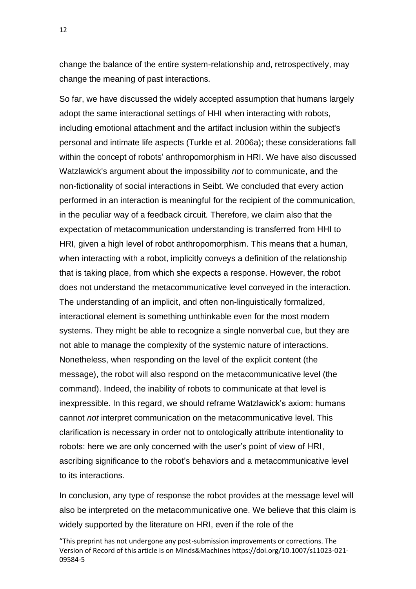change the balance of the entire system-relationship and, retrospectively, may change the meaning of past interactions.

So far, we have discussed the widely accepted assumption that humans largely adopt the same interactional settings of HHI when interacting with robots, including emotional attachment and the artifact inclusion within the subject's personal and intimate life aspects (Turkle et al. 2006a); these considerations fall within the concept of robots' anthropomorphism in HRI. We have also discussed Watzlawick's argument about the impossibility *not* to communicate, and the non-fictionality of social interactions in Seibt. We concluded that every action performed in an interaction is meaningful for the recipient of the communication, in the peculiar way of a feedback circuit. Therefore, we claim also that the expectation of metacommunication understanding is transferred from HHI to HRI, given a high level of robot anthropomorphism. This means that a human, when interacting with a robot, implicitly conveys a definition of the relationship that is taking place, from which she expects a response. However, the robot does not understand the metacommunicative level conveyed in the interaction. The understanding of an implicit, and often non-linguistically formalized, interactional element is something unthinkable even for the most modern systems. They might be able to recognize a single nonverbal cue, but they are not able to manage the complexity of the systemic nature of interactions. Nonetheless, when responding on the level of the explicit content (the message), the robot will also respond on the metacommunicative level (the command). Indeed, the inability of robots to communicate at that level is inexpressible. In this regard, we should reframe Watzlawick's axiom: humans cannot *not* interpret communication on the metacommunicative level. This clarification is necessary in order not to ontologically attribute intentionality to robots: here we are only concerned with the user's point of view of HRI, ascribing significance to the robot's behaviors and a metacommunicative level to its interactions.

In conclusion, any type of response the robot provides at the message level will also be interpreted on the metacommunicative one. We believe that this claim is widely supported by the literature on HRI, even if the role of the

<sup>&</sup>quot;This preprint has not undergone any post-submission improvements or corrections. The Version of Record of this article is on Minds&Machines https://doi.org/10.1007/s11023-021- 09584-5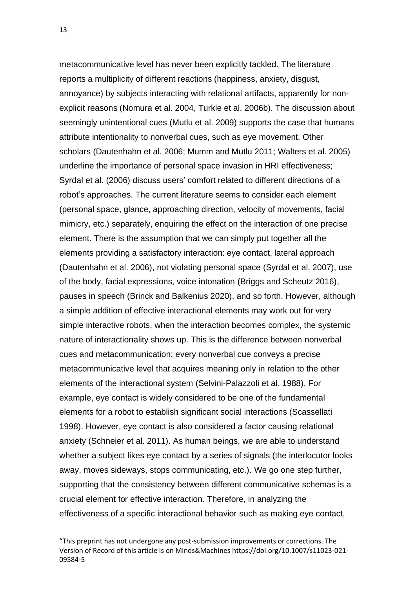metacommunicative level has never been explicitly tackled. The literature reports a multiplicity of different reactions (happiness, anxiety, disgust, annoyance) by subjects interacting with relational artifacts, apparently for nonexplicit reasons (Nomura et al. 2004, Turkle et al. 2006b). The discussion about seemingly unintentional cues (Mutlu et al. 2009) supports the case that humans attribute intentionality to nonverbal cues, such as eye movement. Other scholars (Dautenhahn et al. 2006; Mumm and Mutlu 2011; Walters et al. 2005) underline the importance of personal space invasion in HRI effectiveness; Syrdal et al. (2006) discuss users' comfort related to different directions of a robot's approaches. The current literature seems to consider each element (personal space, glance, approaching direction, velocity of movements, facial mimicry, etc.) separately, enquiring the effect on the interaction of one precise element. There is the assumption that we can simply put together all the elements providing a satisfactory interaction: eye contact, lateral approach (Dautenhahn et al. 2006), not violating personal space (Syrdal et al. 2007), use of the body, facial expressions, voice intonation (Briggs and Scheutz 2016), pauses in speech (Brinck and Balkenius 2020), and so forth. However, although a simple addition of effective interactional elements may work out for very simple interactive robots, when the interaction becomes complex, the systemic nature of interactionality shows up. This is the difference between nonverbal cues and metacommunication: every nonverbal cue conveys a precise metacommunicative level that acquires meaning only in relation to the other elements of the interactional system (Selvini-Palazzoli et al. 1988). For example, eye contact is widely considered to be one of the fundamental elements for a robot to establish significant social interactions (Scassellati 1998). However, eye contact is also considered a factor causing relational anxiety (Schneier et al. 2011). As human beings, we are able to understand whether a subject likes eye contact by a series of signals (the interlocutor looks away, moves sideways, stops communicating, etc.). We go one step further, supporting that the consistency between different communicative schemas is a crucial element for effective interaction. Therefore, in analyzing the effectiveness of a specific interactional behavior such as making eye contact,

<sup>&</sup>quot;This preprint has not undergone any post-submission improvements or corrections. The Version of Record of this article is on Minds&Machines https://doi.org/10.1007/s11023-021- 09584-5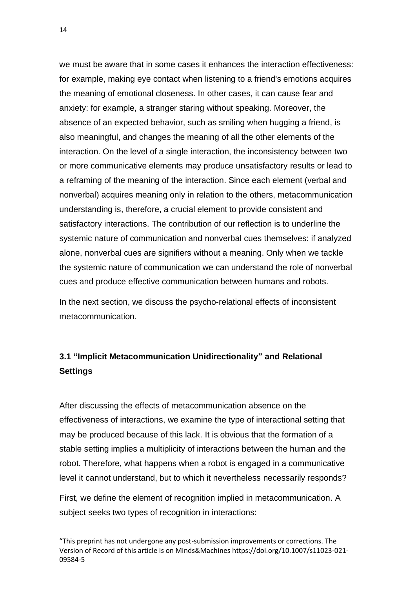we must be aware that in some cases it enhances the interaction effectiveness: for example, making eye contact when listening to a friend's emotions acquires the meaning of emotional closeness. In other cases, it can cause fear and anxiety: for example, a stranger staring without speaking. Moreover, the absence of an expected behavior, such as smiling when hugging a friend, is also meaningful, and changes the meaning of all the other elements of the interaction. On the level of a single interaction, the inconsistency between two or more communicative elements may produce unsatisfactory results or lead to a reframing of the meaning of the interaction. Since each element (verbal and nonverbal) acquires meaning only in relation to the others, metacommunication understanding is, therefore, a crucial element to provide consistent and satisfactory interactions. The contribution of our reflection is to underline the systemic nature of communication and nonverbal cues themselves: if analyzed alone, nonverbal cues are signifiers without a meaning. Only when we tackle the systemic nature of communication we can understand the role of nonverbal cues and produce effective communication between humans and robots.

In the next section, we discuss the psycho-relational effects of inconsistent metacommunication.

### **3.1 "Implicit Metacommunication Unidirectionality" and Relational Settings**

After discussing the effects of metacommunication absence on the effectiveness of interactions, we examine the type of interactional setting that may be produced because of this lack. It is obvious that the formation of a stable setting implies a multiplicity of interactions between the human and the robot. Therefore, what happens when a robot is engaged in a communicative level it cannot understand, but to which it nevertheless necessarily responds?

First, we define the element of recognition implied in metacommunication. A subject seeks two types of recognition in interactions: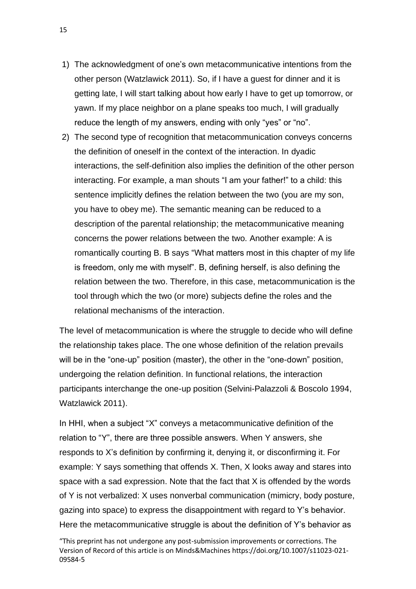- 1) The acknowledgment of one's own metacommunicative intentions from the other person (Watzlawick 2011). So, if I have a guest for dinner and it is getting late, I will start talking about how early I have to get up tomorrow, or yawn. If my place neighbor on a plane speaks too much, I will gradually reduce the length of my answers, ending with only "yes" or "no".
- 2) The second type of recognition that metacommunication conveys concerns the definition of oneself in the context of the interaction. In dyadic interactions, the self-definition also implies the definition of the other person interacting. For example, a man shouts "I am your father!" to a child: this sentence implicitly defines the relation between the two (you are my son, you have to obey me). The semantic meaning can be reduced to a description of the parental relationship; the metacommunicative meaning concerns the power relations between the two. Another example: A is romantically courting B. B says "What matters most in this chapter of my life is freedom, only me with myself". B, defining herself, is also defining the relation between the two. Therefore, in this case, metacommunication is the tool through which the two (or more) subjects define the roles and the relational mechanisms of the interaction.

The level of metacommunication is where the struggle to decide who will define the relationship takes place. The one whose definition of the relation prevails will be in the "one-up" position (master), the other in the "one-down" position, undergoing the relation definition. In functional relations, the interaction participants interchange the one-up position (Selvini-Palazzoli & Boscolo 1994, Watzlawick 2011).

In HHI, when a subject "X" conveys a metacommunicative definition of the relation to "Y", there are three possible answers. When Y answers, she responds to X's definition by confirming it, denying it, or disconfirming it. For example: Y says something that offends X. Then, X looks away and stares into space with a sad expression. Note that the fact that X is offended by the words of Y is not verbalized: X uses nonverbal communication (mimicry, body posture, gazing into space) to express the disappointment with regard to Y's behavior. Here the metacommunicative struggle is about the definition of Y's behavior as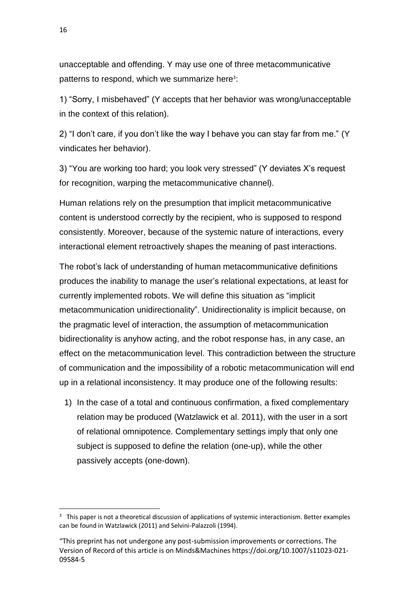unacceptable and offending. Y may use one of three metacommunicative patterns to respond, which we summarize here<sup>3</sup>:

1) "Sorry, I misbehaved" (Y accepts that her behavior was wrong/unacceptable in the context of this relation).

2) "I don't care, if you don't like the way I behave you can stay far from me." (Y vindicates her behavior).

3) "You are working too hard; you look very stressed" (Y deviates X's request for recognition, warping the metacommunicative channel).

Human relations rely on the presumption that implicit metacommunicative content is understood correctly by the recipient, who is supposed to respond consistently. Moreover, because of the systemic nature of interactions, every interactional element retroactively shapes the meaning of past interactions.

The robot's lack of understanding of human metacommunicative definitions produces the inability to manage the user's relational expectations, at least for currently implemented robots. We will define this situation as "implicit metacommunication unidirectionality". Unidirectionality is implicit because, on the pragmatic level of interaction, the assumption of metacommunication bidirectionality is anyhow acting, and the robot response has, in any case, an effect on the metacommunication level. This contradiction between the structure of communication and the impossibility of a robotic metacommunication will end up in a relational inconsistency. It may produce one of the following results:

1) In the case of a total and continuous confirmation, a fixed complementary relation may be produced (Watzlawick et al. 2011), with the user in a sort of relational omnipotence. Complementary settings imply that only one subject is supposed to define the relation (one-up), while the other passively accepts (one-down).

<sup>&</sup>lt;sup>3</sup> This paper is not a theoretical discussion of applications of systemic interactionism. Better examples can be found in Watzlawick (2011) and Selvini-Palazzoli (1994).

<sup>&</sup>quot;This preprint has not undergone any post-submission improvements or corrections. The Version of Record of this article is on Minds&Machines https://doi.org/10.1007/s11023-021- 09584-5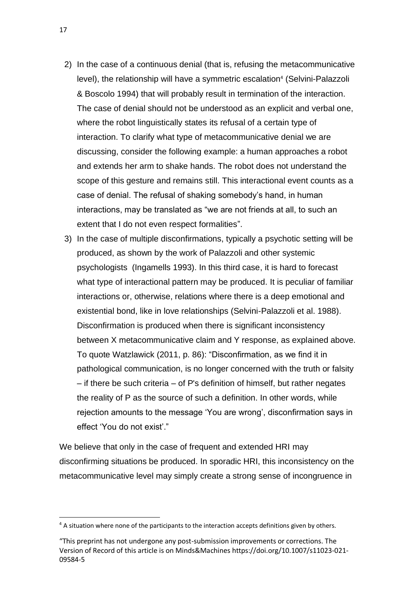- 2) In the case of a continuous denial (that is, refusing the metacommunicative level), the relationship will have a symmetric escalation<sup>4</sup> (Selvini-Palazzoli & Boscolo 1994) that will probably result in termination of the interaction. The case of denial should not be understood as an explicit and verbal one, where the robot linguistically states its refusal of a certain type of interaction. To clarify what type of metacommunicative denial we are discussing, consider the following example: a human approaches a robot and extends her arm to shake hands. The robot does not understand the scope of this gesture and remains still. This interactional event counts as a case of denial. The refusal of shaking somebody's hand, in human interactions, may be translated as "we are not friends at all, to such an extent that I do not even respect formalities".
- 3) In the case of multiple disconfirmations, typically a psychotic setting will be produced, as shown by the work of Palazzoli and other systemic psychologists (Ingamells 1993). In this third case, it is hard to forecast what type of interactional pattern may be produced. It is peculiar of familiar interactions or, otherwise, relations where there is a deep emotional and existential bond, like in love relationships (Selvini-Palazzoli et al. 1988). Disconfirmation is produced when there is significant inconsistency between X metacommunicative claim and Y response, as explained above. To quote Watzlawick (2011, p. 86): "Disconfirmation, as we find it in pathological communication, is no longer concerned with the truth or falsity – if there be such criteria – of P's definition of himself, but rather negates the reality of P as the source of such a definition. In other words, while rejection amounts to the message 'You are wrong', disconfirmation says in effect 'You do not exist'."

We believe that only in the case of frequent and extended HRI may disconfirming situations be produced. In sporadic HRI, this inconsistency on the metacommunicative level may simply create a strong sense of incongruence in

 $4$  A situation where none of the participants to the interaction accepts definitions given by others.

<sup>&</sup>quot;This preprint has not undergone any post-submission improvements or corrections. The Version of Record of this article is on Minds&Machines https://doi.org/10.1007/s11023-021- 09584-5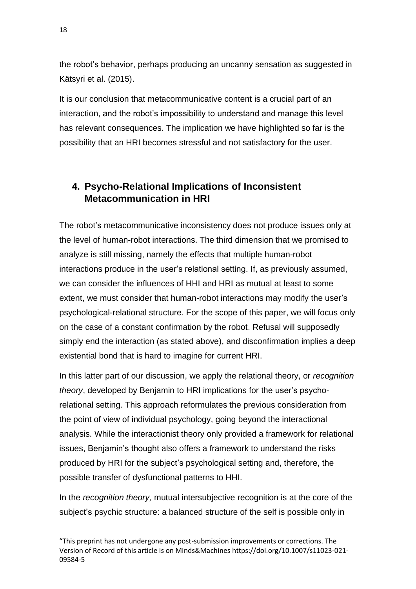the robot's behavior, perhaps producing an uncanny sensation as suggested in Kätsyri et al. (2015).

It is our conclusion that metacommunicative content is a crucial part of an interaction, and the robot's impossibility to understand and manage this level has relevant consequences. The implication we have highlighted so far is the possibility that an HRI becomes stressful and not satisfactory for the user.

### **4. Psycho-Relational Implications of Inconsistent Metacommunication in HRI**

The robot's metacommunicative inconsistency does not produce issues only at the level of human-robot interactions. The third dimension that we promised to analyze is still missing, namely the effects that multiple human-robot interactions produce in the user's relational setting. If, as previously assumed, we can consider the influences of HHI and HRI as mutual at least to some extent, we must consider that human-robot interactions may modify the user's psychological-relational structure. For the scope of this paper, we will focus only on the case of a constant confirmation by the robot. Refusal will supposedly simply end the interaction (as stated above), and disconfirmation implies a deep existential bond that is hard to imagine for current HRI.

In this latter part of our discussion, we apply the relational theory, or *recognition theory*, developed by Benjamin to HRI implications for the user's psychorelational setting. This approach reformulates the previous consideration from the point of view of individual psychology, going beyond the interactional analysis. While the interactionist theory only provided a framework for relational issues, Benjamin's thought also offers a framework to understand the risks produced by HRI for the subject's psychological setting and, therefore, the possible transfer of dysfunctional patterns to HHI.

In the *recognition theory,* mutual intersubjective recognition is at the core of the subject's psychic structure: a balanced structure of the self is possible only in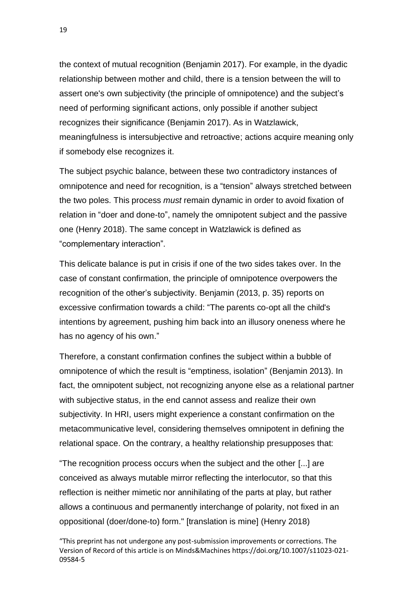the context of mutual recognition (Benjamin 2017). For example, in the dyadic relationship between mother and child, there is a tension between the will to assert one's own subjectivity (the principle of omnipotence) and the subject's need of performing significant actions, only possible if another subject recognizes their significance (Benjamin 2017). As in Watzlawick, meaningfulness is intersubjective and retroactive; actions acquire meaning only if somebody else recognizes it.

The subject psychic balance, between these two contradictory instances of omnipotence and need for recognition, is a "tension" always stretched between the two poles. This process *must* remain dynamic in order to avoid fixation of relation in "doer and done-to", namely the omnipotent subject and the passive one (Henry 2018). The same concept in Watzlawick is defined as "complementary interaction".

This delicate balance is put in crisis if one of the two sides takes over. In the case of constant confirmation, the principle of omnipotence overpowers the recognition of the other's subjectivity. Benjamin (2013, p. 35) reports on excessive confirmation towards a child: "The parents co-opt all the child's intentions by agreement, pushing him back into an illusory oneness where he has no agency of his own."

Therefore, a constant confirmation confines the subject within a bubble of omnipotence of which the result is "emptiness, isolation" (Benjamin 2013). In fact, the omnipotent subject, not recognizing anyone else as a relational partner with subjective status, in the end cannot assess and realize their own subjectivity. In HRI, users might experience a constant confirmation on the metacommunicative level, considering themselves omnipotent in defining the relational space. On the contrary, a healthy relationship presupposes that:

"The recognition process occurs when the subject and the other [...] are conceived as always mutable mirror reflecting the interlocutor, so that this reflection is neither mimetic nor annihilating of the parts at play, but rather allows a continuous and permanently interchange of polarity, not fixed in an oppositional (doer/done-to) form." [translation is mine] (Henry 2018)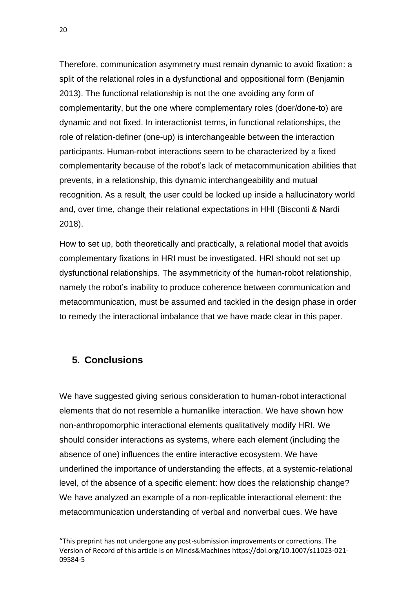Therefore, communication asymmetry must remain dynamic to avoid fixation: a split of the relational roles in a dysfunctional and oppositional form (Benjamin 2013). The functional relationship is not the one avoiding any form of complementarity, but the one where complementary roles (doer/done-to) are dynamic and not fixed. In interactionist terms, in functional relationships, the role of relation-definer (one-up) is interchangeable between the interaction participants. Human-robot interactions seem to be characterized by a fixed complementarity because of the robot's lack of metacommunication abilities that prevents, in a relationship, this dynamic interchangeability and mutual recognition. As a result, the user could be locked up inside a hallucinatory world and, over time, change their relational expectations in HHI (Bisconti & Nardi 2018).

How to set up, both theoretically and practically, a relational model that avoids complementary fixations in HRI must be investigated. HRI should not set up dysfunctional relationships. The asymmetricity of the human-robot relationship, namely the robot's inability to produce coherence between communication and metacommunication, must be assumed and tackled in the design phase in order to remedy the interactional imbalance that we have made clear in this paper.

### **5. Conclusions**

We have suggested giving serious consideration to human-robot interactional elements that do not resemble a humanlike interaction. We have shown how non-anthropomorphic interactional elements qualitatively modify HRI. We should consider interactions as systems, where each element (including the absence of one) influences the entire interactive ecosystem. We have underlined the importance of understanding the effects, at a systemic-relational level, of the absence of a specific element: how does the relationship change? We have analyzed an example of a non-replicable interactional element: the metacommunication understanding of verbal and nonverbal cues. We have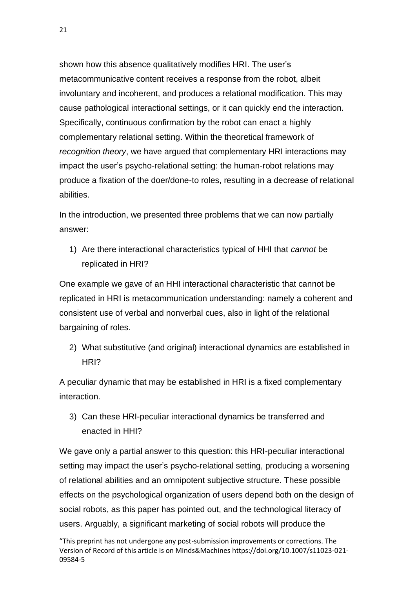shown how this absence qualitatively modifies HRI. The user's metacommunicative content receives a response from the robot, albeit involuntary and incoherent, and produces a relational modification. This may cause pathological interactional settings, or it can quickly end the interaction. Specifically, continuous confirmation by the robot can enact a highly complementary relational setting. Within the theoretical framework of *recognition theory*, we have argued that complementary HRI interactions may impact the user's psycho-relational setting: the human-robot relations may produce a fixation of the doer/done-to roles, resulting in a decrease of relational abilities.

In the introduction, we presented three problems that we can now partially answer:

1) Are there interactional characteristics typical of HHI that *cannot* be replicated in HRI?

One example we gave of an HHI interactional characteristic that cannot be replicated in HRI is metacommunication understanding: namely a coherent and consistent use of verbal and nonverbal cues, also in light of the relational bargaining of roles.

2) What substitutive (and original) interactional dynamics are established in HRI?

A peculiar dynamic that may be established in HRI is a fixed complementary interaction.

3) Can these HRI-peculiar interactional dynamics be transferred and enacted in HHI?

We gave only a partial answer to this question: this HRI-peculiar interactional setting may impact the user's psycho-relational setting, producing a worsening of relational abilities and an omnipotent subjective structure. These possible effects on the psychological organization of users depend both on the design of social robots, as this paper has pointed out, and the technological literacy of users. Arguably, a significant marketing of social robots will produce the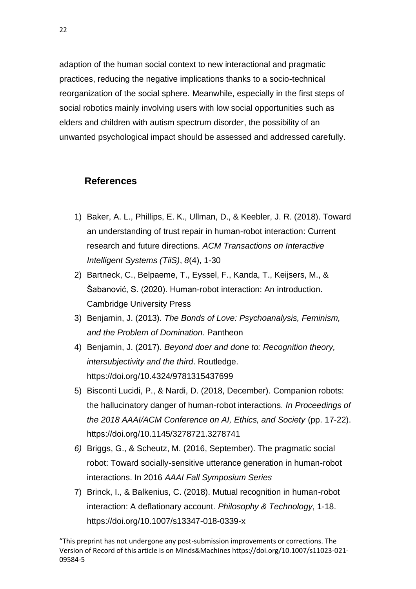adaption of the human social context to new interactional and pragmatic practices, reducing the negative implications thanks to a socio-technical reorganization of the social sphere. Meanwhile, especially in the first steps of social robotics mainly involving users with low social opportunities such as elders and children with autism spectrum disorder, the possibility of an unwanted psychological impact should be assessed and addressed carefully.

### **References**

- 1) Baker, A. L., Phillips, E. K., Ullman, D., & Keebler, J. R. (2018). Toward an understanding of trust repair in human-robot interaction: Current research and future directions. *ACM Transactions on Interactive Intelligent Systems (TiiS)*, *8*(4), 1-30
- 2) Bartneck, C., Belpaeme, T., Eyssel, F., Kanda, T., Keijsers, M., & Šabanović, S. (2020). Human-robot interaction: An introduction. Cambridge University Press
- 3) Benjamin, J. (2013). *The Bonds of Love: Psychoanalysis, Feminism, and the Problem of Domination*. Pantheon
- 4) Benjamin, J. (2017). *Beyond doer and done to: Recognition theory, intersubjectivity and the third*. Routledge. https://doi.org/10.4324/9781315437699
- 5) Bisconti Lucidi, P., & Nardi, D. (2018, December). Companion robots: the hallucinatory danger of human-robot interactions. *In Proceedings of the 2018 AAAI/ACM Conference on AI, Ethics, and Society* (pp. 17-22). https://doi.org/10.1145/3278721.3278741
- *6)* Briggs, G., & Scheutz, M. (2016, September). The pragmatic social robot: Toward socially-sensitive utterance generation in human-robot interactions. In 2016 *AAAI Fall Symposium Series*
- 7) Brinck, I., & Balkenius, C. (2018). Mutual recognition in human-robot interaction: A deflationary account. *Philosophy & Technology*, 1-18. https://doi.org/10.1007/s13347-018-0339-x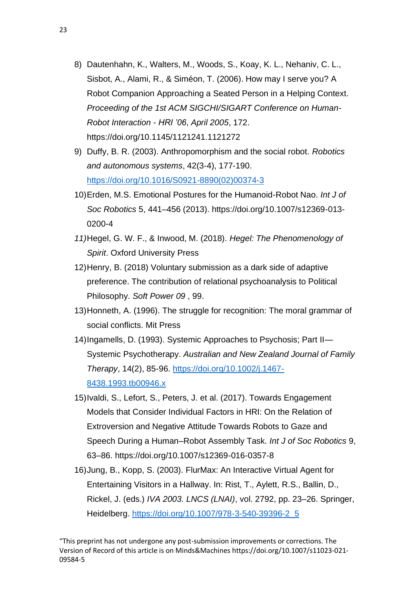- 8) Dautenhahn, K., Walters, M., Woods, S., Koay, K. L., Nehaniv, C. L., Sisbot, A., Alami, R., & Siméon, T. (2006). How may I serve you? A Robot Companion Approaching a Seated Person in a Helping Context. *Proceeding of the 1st ACM SIGCHI/SIGART Conference on Human-Robot Interaction - HRI '06*, *April 2005*, 172. https://doi.org/10.1145/1121241.1121272
- 9) Duffy, B. R. (2003). Anthropomorphism and the social robot. *Robotics and autonomous systems*, 42(3-4), 177-190. [https://doi.org/10.1016/S0921-8890\(02\)00374-3](https://doi.org/10.1016/S0921-8890(02)00374-3)
- 10)Erden, M.S. Emotional Postures for the Humanoid-Robot Nao. *Int J of Soc Robotics* 5, 441–456 (2013). https://doi.org/10.1007/s12369-013- 0200-4
- *11)*Hegel, G. W. F., & Inwood, M. (2018). *Hegel: The Phenomenology of Spirit*. Oxford University Press
- 12)Henry, B. (2018) Voluntary submission as a dark side of adaptive preference. The contribution of relational psychoanalysis to Political Philosophy. *Soft Power 09* , 99.
- 13)Honneth, A. (1996). The struggle for recognition: The moral grammar of social conflicts. Mit Press
- 14)Ingamells, D. (1993). Systemic Approaches to Psychosis; Part II— Systemic Psychotherapy. *Australian and New Zealand Journal of Family Therapy*, 14(2), 85-96. [https://doi.org/10.1002/j.1467-](https://doi.org/10.1002/j.1467-8438.1993.tb00946.x) [8438.1993.tb00946.x](https://doi.org/10.1002/j.1467-8438.1993.tb00946.x)
- 15)Ivaldi, S., Lefort, S., Peters, J. et al. (2017). Towards Engagement Models that Consider Individual Factors in HRI: On the Relation of Extroversion and Negative Attitude Towards Robots to Gaze and Speech During a Human–Robot Assembly Task. *Int J of Soc Robotics* 9, 63–86. https://doi.org/10.1007/s12369-016-0357-8
- 16)Jung, B., Kopp, S. (2003). FlurMax: An Interactive Virtual Agent for Entertaining Visitors in a Hallway. In: Rist, T., Aylett, R.S., Ballin, D., Rickel, J. (eds.) *IVA 2003. LNCS (LNAI)*, vol. 2792, pp. 23–26. Springer, Heidelberg. [https://doi.org/10.1007/978-3-540-39396-2\\_5](https://doi.org/10.1007/978-3-540-39396-2_5)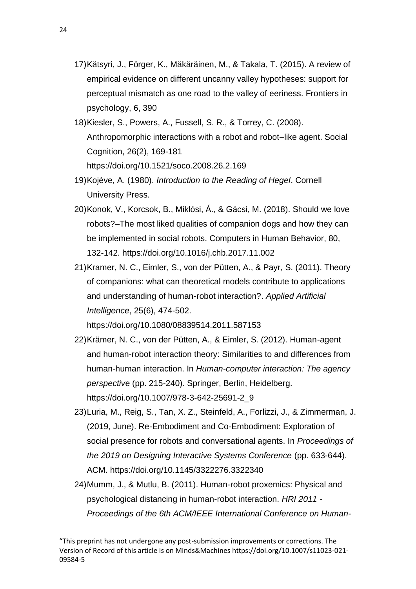- 17)Kätsyri, J., Förger, K., Mäkäräinen, M., & Takala, T. (2015). A review of empirical evidence on different uncanny valley hypotheses: support for perceptual mismatch as one road to the valley of eeriness. Frontiers in psychology, 6, 390
- 18)Kiesler, S., Powers, A., Fussell, S. R., & Torrey, C. (2008). Anthropomorphic interactions with a robot and robot–like agent. Social Cognition, 26(2), 169-181 https://doi.org/10.1521/soco.2008.26.2.169
- 19)Kojève, A. (1980). *Introduction to the Reading of Hegel*. Cornell University Press.
- 20)Konok, V., Korcsok, B., Miklósi, Á., & Gácsi, M. (2018). Should we love robots?–The most liked qualities of companion dogs and how they can be implemented in social robots. Computers in Human Behavior, 80, 132-142. https://doi.org/10.1016/j.chb.2017.11.002
- 21)Kramer, N. C., Eimler, S., von der Pütten, A., & Payr, S. (2011). Theory of companions: what can theoretical models contribute to applications and understanding of human-robot interaction?. *Applied Artificial Intelligence*, 25(6), 474-502.

https://doi.org/10.1080/08839514.2011.587153

- 22)Krämer, N. C., von der Pütten, A., & Eimler, S. (2012). Human-agent and human-robot interaction theory: Similarities to and differences from human-human interaction. In *Human-computer interaction: The agency perspectiv*e (pp. 215-240). Springer, Berlin, Heidelberg. https://doi.org/10.1007/978-3-642-25691-2\_9
- 23)Luria, M., Reig, S., Tan, X. Z., Steinfeld, A., Forlizzi, J., & Zimmerman, J. (2019, June). Re-Embodiment and Co-Embodiment: Exploration of social presence for robots and conversational agents. In *Proceedings of the 2019 on Designing Interactive Systems Conference* (pp. 633-644). ACM. https://doi.org/10.1145/3322276.3322340
- 24)Mumm, J., & Mutlu, B. (2011). Human-robot proxemics: Physical and psychological distancing in human-robot interaction. *HRI 2011 - Proceedings of the 6th ACM/IEEE International Conference on Human-*

<sup>&</sup>quot;This preprint has not undergone any post-submission improvements or corrections. The Version of Record of this article is on Minds&Machines https://doi.org/10.1007/s11023-021- 09584-5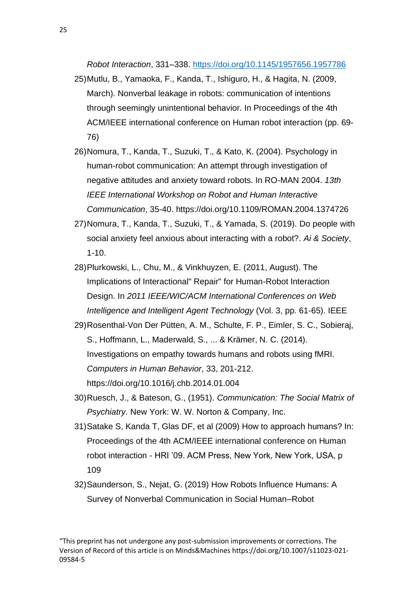*Robot Interaction*, 331–338.<https://doi.org/10.1145/1957656.1957786>

- 25)Mutlu, B., Yamaoka, F., Kanda, T., Ishiguro, H., & Hagita, N. (2009, March). Nonverbal leakage in robots: communication of intentions through seemingly unintentional behavior. In Proceedings of the 4th ACM/IEEE international conference on Human robot interaction (pp. 69- 76)
- 26)Nomura, T., Kanda, T., Suzuki, T., & Kato, K. (2004). Psychology in human-robot communication: An attempt through investigation of negative attitudes and anxiety toward robots. In RO-MAN 2004. *13th IEEE International Workshop on Robot and Human Interactive Communication*, 35-40. https://doi.org/10.1109/ROMAN.2004.1374726
- 27)Nomura, T., Kanda, T., Suzuki, T., & Yamada, S. (2019). Do people with social anxiety feel anxious about interacting with a robot?. *Ai & Society*, 1-10.
- 28)Plurkowski, L., Chu, M., & Vinkhuyzen, E. (2011, August). The Implications of Interactional" Repair" for Human-Robot Interaction Design. In *2011 IEEE/WIC/ACM International Conferences on Web Intelligence and Intelligent Agent Technology* (Vol. 3, pp. 61-65). IEEE
- 29)Rosenthal-Von Der Pütten, A. M., Schulte, F. P., Eimler, S. C., Sobieraj, S., Hoffmann, L., Maderwald, S., ... & Krämer, N. C. (2014). Investigations on empathy towards humans and robots using fMRI. *Computers in Human Behavior*, 33, 201-212. https://doi.org/10.1016/j.chb.2014.01.004
- 30)Ruesch, J., & Bateson, G., (1951). *Communication: The Social Matrix of Psychiatry*. New York: W. W. Norton & Company, Inc.
- 31)Satake S, Kanda T, Glas DF, et al (2009) How to approach humans? In: Proceedings of the 4th ACM/IEEE international conference on Human robot interaction - HRI '09. ACM Press, New York, New York, USA, p 109
- 32)Saunderson, S., Nejat, G. (2019) How Robots Influence Humans: A Survey of Nonverbal Communication in Social Human–Robot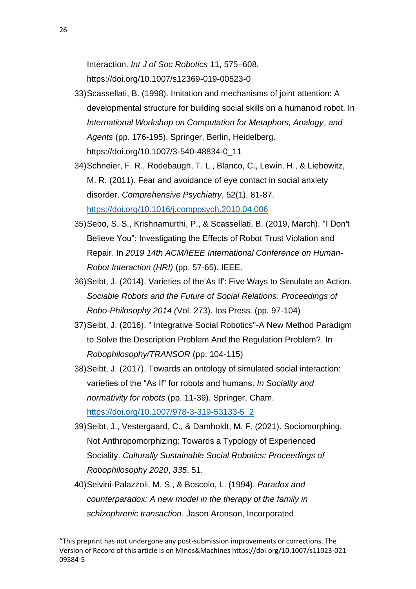Interaction. *Int J of Soc Robotics* 11, 575–608. https://doi.org/10.1007/s12369-019-00523-0

- 33)Scassellati, B. (1998). Imitation and mechanisms of joint attention: A developmental structure for building social skills on a humanoid robot. In *International Workshop on Computation for Metaphors, Analogy*, *and Agents* (pp. 176-195). Springer, Berlin, Heidelberg. https://doi.org/10.1007/3-540-48834-0\_11
- 34)Schneier, F. R., Rodebaugh, T. L., Blanco, C., Lewin, H., & Liebowitz, M. R. (2011). Fear and avoidance of eye contact in social anxiety disorder. *Comprehensive Psychiatry*, 52(1), 81-87. <https://doi.org/10.1016/j.comppsych.2010.04.006>
- 35)Sebo, S. S., Krishnamurthi, P., & Scassellati, B. (2019, March). "I Don't Believe You": Investigating the Effects of Robot Trust Violation and Repair. In *2019 14th ACM/IEEE International Conference on Human-Robot Interaction (HRI)* (pp. 57-65). IEEE.
- 36)Seibt, J. (2014). Varieties of the'As If': Five Ways to Simulate an Action. *Sociable Robots and the Future of Social Relations: Proceedings of Robo-Philosophy 2014 (*Vol. 273). Ios Press. (pp. 97-104)
- 37)Seibt, J. (2016). " Integrative Social Robotics"-A New Method Paradigm to Solve the Description Problem And the Regulation Problem?. In *Robophilosophy/TRANSOR* (pp. 104-115)
- 38)Seibt, J. (2017). Towards an ontology of simulated social interaction: varieties of the "As If" for robots and humans. *In Sociality and normativity for robots* (pp. 11-39). Springer, Cham. [https://doi.org/10.1007/978-3-319-53133-5\\_2](https://doi.org/10.1007/978-3-319-53133-5_2)
- 39)Seibt, J., Vestergaard, C., & Damholdt, M. F. (2021). Sociomorphing, Not Anthropomorphizing: Towards a Typology of Experienced Sociality. *Culturally Sustainable Social Robotics: Proceedings of Robophilosophy 2020*, *335*, 51.
- 40)Selvini-Palazzoli, M. S., & Boscolo, L. (1994). *Paradox and counterparadox: A new model in the therapy of the family in schizophrenic transaction*. Jason Aronson, Incorporated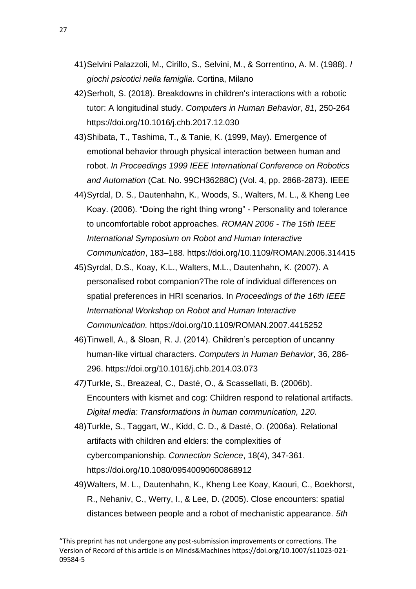- 41)Selvini Palazzoli, M., Cirillo, S., Selvini, M., & Sorrentino, A. M. (1988). *I giochi psicotici nella famiglia*. Cortina, Milano
- 42)Serholt, S. (2018). Breakdowns in children's interactions with a robotic tutor: A longitudinal study. *Computers in Human Behavior*, *81*, 250-264 https://doi.org/10.1016/j.chb.2017.12.030
- 43)Shibata, T., Tashima, T., & Tanie, K. (1999, May). Emergence of emotional behavior through physical interaction between human and robot. *In Proceedings 1999 IEEE International Conference on Robotics and Automation* (Cat. No. 99CH36288C) (Vol. 4, pp. 2868-2873). IEEE
- 44)Syrdal, D. S., Dautenhahn, K., Woods, S., Walters, M. L., & Kheng Lee Koay. (2006). "Doing the right thing wrong" - Personality and tolerance to uncomfortable robot approaches. *ROMAN 2006 - The 15th IEEE International Symposium on Robot and Human Interactive Communication*, 183–188. https://doi.org/10.1109/ROMAN.2006.314415
- 45)Syrdal, D.S., Koay, K.L., Walters, M.L., Dautenhahn, K. (2007). A personalised robot companion?The role of individual differences on spatial preferences in HRI scenarios. In *Proceedings of the 16th IEEE International Workshop on Robot and Human Interactive Communication.* https://doi.org/10.1109/ROMAN.2007.4415252
- 46)Tinwell, A., & Sloan, R. J. (2014). Children's perception of uncanny human-like virtual characters. *Computers in Human Behavior*, 36, 286- 296. https://doi.org/10.1016/j.chb.2014.03.073
- *47)*Turkle, S., Breazeal, C., Dasté, O., & Scassellati, B. (2006b). Encounters with kismet and cog: Children respond to relational artifacts. *Digital media: Transformations in human communication, 120.*
- 48)Turkle, S., Taggart, W., Kidd, C. D., & Dasté, O. (2006a). Relational artifacts with children and elders: the complexities of cybercompanionship. *Connection Science*, 18(4), 347-361. https://doi.org/10.1080/09540090600868912
- 49)Walters, M. L., Dautenhahn, K., Kheng Lee Koay, Kaouri, C., Boekhorst, R., Nehaniv, C., Werry, I., & Lee, D. (2005). Close encounters: spatial distances between people and a robot of mechanistic appearance. *5th*